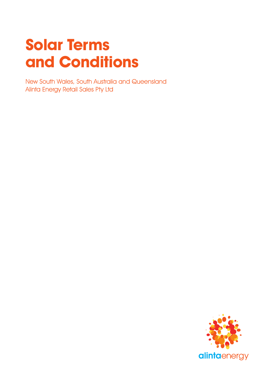# **Solar Terms and Conditions**

New South Wales, South Australia and Queensland Alinta Energy Retail Sales Pty Ltd

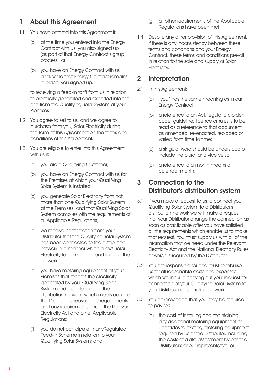# 1 About this Agreement

- 1.1 You have entered into this Agreement if:
	- (a) at the time you entered into the Energy Contract with us, you also signed up (as part of that Energy Contract signup process); or
	- (b) you have an Energy Contract with us and, while that Energy Contract remains in place, you signed up,

 to receiving a feed-in tariff from us in relation to electricity generated and exported into the grid from the Qualifying Solar System at your Premises.

- 1.2 You agree to sell to us, and we agree to purchase from you, Solar Electricity during the Term of this Agreement on the terms and conditions of this Agreement.
- 1.3 You are eligible to enter into this Agreement with us if:
	- (a) you are a Qualifying Customer;
	- (b) you have an Energy Contract with us for the Premises at which your Qualifying Solar System is installed;
	- (c) you generate Solar Electricity from not more than one Qualifying Solar System at the Premises, and that Qualifying Solar System complies with the requirements of all Applicable Regulations;
	- (d) we receive confirmation from your Distributor that the Qualifying Solar System has been connected to the distribution network in a manner which allows Solar Electricity to be metered and fed into the network;
	- (e) you have metering equipment at your Premises that records the electricity generated by your Qualifying Solar System and dispatched into the distribution network, which meets our and the Distributor's reasonable requirements and any requirements under the Relevant Electricity Act and other Applicable Regulations;
	- (f) you do not participate in anyRegulated Feed-in Scheme in relation to your Qualifying Solar System; and
- (g) all other requirements of the Applicable Regulations have been met.
- 1.4 Despite any other provision of this Agreement, if there is any inconsistency between these terms and conditions and your Energy Contract, these terms and conditions prevail in relation to the sale and supply of Solar Electricity.

## 2 Interpretation

- 2.1 In this Agreement:
	- (a) "you" has the same meaning as in our Energy Contract;
	- (b) a reference to an Act, regulation, order, code, guideline, licence or rules is to be read as a reference to that document as amended, re-enacted, replaced or varied from time to time;
	- (c) a singular word should be understoodto include the plural and vice versa;
	- (d) a reference to a month means a calendar month.

# 3 Connection to the Distributor's distribution system

- 3.1 If you make a request to us to connect your Qualifying Solar System to a Distributor's distribution network we will make a request that your Distributor arrange the connection as soon as practicable after you have satisfied all the requirements which enable us to make that request. You must supply us with all of the information that we need under the Relevant Electricity Act and the National Electricity Rules or which is required by the Distributor.
- 3.2 You are responsible for and must reimburse us for all reasonable costs and expenses which we incur in carrying out your request for connection of your Qualifying Solar System to your Distributor's distribution network.
- 3.3 You acknowledge that you may be required to pay for:
	- (a) the cost of installing and maintaining any additional metering equipment or upgrades to existing metering equipment required by us or the Distributor, including the costs of a site assessment by either a Distributor's or our representative; or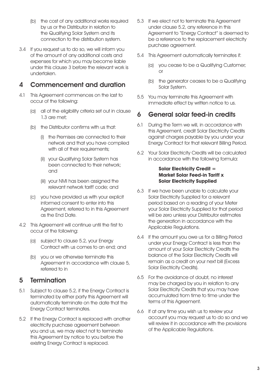- (b) the cost of any additional works required by us or the Distributor in relation to the Qualifying Solar System and its connection to the distribution system.
- 3.4 If you request us to do so, we will inform you of the amount of any additional costs and expenses for which you may become liable under this clause 3 before the relevant work is undertaken.

# 4 Commencement and duration

- 4.1 This Agreement commences on the last to occur of the following:
	- (a) all of the eligibility criteria set out in clause 1.3 are met;
	- (b) the Distributor confirms with us that:
		- (i) the Premises are connected to their network and that you have complied with all of their requirements;
		- (ii) your Qualifying Solar System has been connected to their network; and
		- (iii) your NMI has been assigned the relevant network tariff code; and
	- (c) you have provided us with your explicit informed consent to enter into this Agreement, referred to in this Agreement as the End Date.
- 4.2 This Agreement will continue until the first to occur of the following:
	- (a) subject to clause 5.2, your Energy Contract with us comes to an end; and
	- (b) you or we otherwise terminate this Agreement in accordance with clause 5, referred to in

## 5 Termination

- 5.1 Subject to clause 5.2, if the Energy Contract is terminated by either party this Agreement will automatically terminate on the date that the Energy Contract terminates.
- 5.2 If the Energy Contract is replaced with another electricity purchase agreement between you and us, we may elect not to terminate this Agreement by notice to you before the existing Energy Contract is replaced.
- 5.3 If we elect not to terminate this Agreement under clause 5.2, any reference in this Agreement to "Energy Contract" is deemed to be a reference to the replacement electricity purchase agreement.
- 5.4 This Agreement automatically terminates if:
	- (a) you cease to be a Qualifying Customer; or
	- (b) the generator ceases to be a Qualifying Solar System.
- 5.5 You may terminate this Agreement with immediate effect by written notice to us.

# 6 General solar feed-in credits

- 6.1 During the Term we will, in accordance with this Agreement, credit Solar Electricity Credits against charges payable by you under your Energy Contract for that relevant Billing Period.
- 6.2 Your Solar Electricity Credits will be calculated in accordance with the following formula:

#### **Solar Electricity Credit = Market Solar Feed-in Tariff x Solar Electricity Supplied**

- 6.3 If we have been unable to calculate your Solar Electricity Supplied for a relevant period based on a reading of your Meter your Solar Electricity Supplied for that period will be zero unless your Distributor estimates the generation in accordance with the Applicable Regulations.
- 6.4 If the amount you owe us for a Billing Period under your Energy Contract is less than the amount of your Solar Electricity Credits the balance of the Solar Electricity Credits will remain as a credit on your next bill (Excess Solar Electricity Credits).
- 6.5 For the avoidance of doubt, no interest may be charged by you in relation to any Solar Electricity Credits that you may have accumulated from time to time under the terms of this Agreement.
- 6.6 If at any time you wish us to review your account you may request us to do so and we will review it in accordance with the provisions of the Applicable Regulations.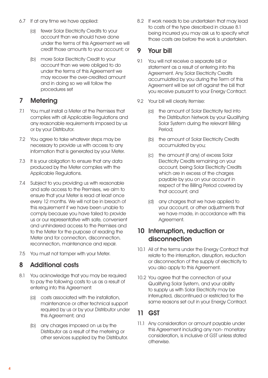- 6.7 If at any time we have applied:
	- (a) fewer Solar Electricity Credits to your account than we should have done under the terms of this Agreement we will credit those amounts to your account; or
	- (b) more Solar Electricity Credit to your account than we were obliged to do under the terms of this Agreement we may recover the over-credited amount and in doing so we will follow the procedures set

# 7 Metering

- 7.1 You must install a Meter at the Premises that complies with all Applicable Regulations and any reasonable requirements imposed by us or by your Distributor.
- 7.2 You agree to take whatever steps may be necessary to provide us with access to any information that is generated by your Meter.
- 7.3 It is your obligation to ensure that any data produced by the Meter complies with the Applicable Regulations.
- 7.4 Subject to you providing us with reasonable and safe access to the Premises, we aim to ensure that your Meter is read at least once every 12 months. We will not be in breach of this requirement if we have been unable to comply because you have failed to provide us or our representative with safe, convenient and unhindered access to the Premises and to the Meter for the purpose of reading the Meter and for connection, disconnection, reconnection, maintenance and repair.
- 7.5 You must not tamper with your Meter.

## 8 Additional costs

- 8.1 You acknowledge that you may be required to pay the following costs to us as a result of entering into this Agreement:
	- (a) costs associated with the installation, maintenance or other technical support required by us or by your Distributor under this Agreement; and
	- (b) any charges imposed on us by the Distributor as a result of the metering or other services supplied by the Distributor.

8.2 If work needs to be undertaken that may lead to costs of the type described in clause 8.1 being incurred you may ask us to specify what those costs are before the work is undertaken.

# 9 Your bill

- 9.1 You will not receive a separate bill or statement as a result of entering into this Agreement. Any Solar Electricity Credits accumulated by you during the Term of this Agreement will be set off against the bill that you receive pursuant to your Energy Contract.
- 9.2 Your bill will clearly itemise:
	- (a) the amount of Solar Electricity fed into the Distribution Network by your Qualifying Solar System during the relevant Billing Period;
	- (b) the amount of Solar Electricity Credits accumulated by you;
	- (c) the amount (if any) of excess Solar Electricity Credits remaining on your account, being Solar Electricity Credits which are in excess of the charges payable by you on your account in respect of the Billing Period covered by that account; and
	- (d) any charges that we have applied to your account, or other adjustments that we have made, in accordance with this Agreement.

# 10 Interruption, reduction or disconnection

- 10.1 All of the terms under the Energy Contract that relate to the interruption, disruption, reduction or disconnection of the supply of electricity to you also apply to this Agreement.
- 10.2 You agree that the connection of your Qualifying Solar System, and your ability to supply us with Solar Electricity may be interrupted, discontinued or restricted for the same reasons set out in your Energy Contract.

# 11 GST

11.1 Any consideration or amount payable under this Agreement including any non- monetary consideration, is inclusive of GST unless stated otherwise.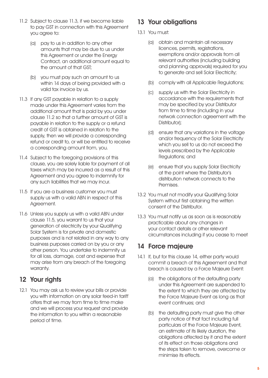- 11.2 Subject to clause 11.3, if we become liable to pay GST in connection with this Agreement you agree to:
	- (a) pay to us in addition to any other amounts that may be due to us under this Agreement or under the Energy Contract, an additional amount equal to the amount of that GST;
	- (b) you must pay such an amount to us within 14 days of being provided with a valid tax invoice by us.
- 11.3 If any GST payable in relation to a supply made under this Agreement varies from the additional amount that is paid by you under clause 11.2 so that a further amount of GST is payable in relation to the supply or a refund credit of GST is obtained in relation to the supply, then we will provide a corresponding refund or credit to, or will be entitled to receive a corresponding amount from, you.
- 11.4 Subject to the foregoing provisions of this clause, you are solely liable for payment of all taxes which may be incurred as a result of this Agreement and you agree to indemnify for any such liabilities that we may incur.
- 11.5 If you are a business customer you must supply us with a valid ABN in respect of this Agreement.
- 11.6 Unless you supply us with a valid ABN under clause 11.5, you warrant to us that your generation of electricity by your Qualifying Solar System is for private and domestic purposes and is not related in any way to any business purposes carried on by you or any other person. You undertake to indemnify us for all loss, damage, cost and expense that may arise from any breach of the foregoing warranty.

## 12 Your rights

12.1 You may ask us to review your bills or provide you with information on any solar feed-in tariff offers that we may from time to time make and we will process your request and provide the information to you within a reasonable period of time.

# 13 Your obligations

- 13.1 You must:
	- (a) obtain and maintain all necessary licences, permits, registrations, exemptions and/or approvals from all relevant authorities (including building and planning approvals) required for you to generate and sell Solar Electricity;
	- (b) comply with all Applicable Regulations;
	- (c) supply us with the Solar Electricity in accordance with the requirements that may be specified by your Distributor from time to time (including in your network connection agreement with the Distributor);
	- (d) ensure that any variations in the voltage and/or frequency of the Solar Electricity which you sell to us do not exceed the levels prescribed by the Applicable Regulations; and
	- (e) ensure that you supply Solar Electricity at the point where the Distributor's distribution network connects to the Premises.
- 13.2 You must not modify your Qualifying Solar System without first obtaining the written consent of the Distributor.
- 13.3 You must notify us as soon as is reasonably practicable about any changes in your contact details or other relevant circumstances including if you cease to meet

# 14 Force majeure

- 14.1 If, but for this clause 14, either party would commit a breach of this Agreement and that breach is caused by a Force Majeure Event:
	- (a) the obligations of the defaulting party under this Agreement are suspended to the extent to which they are affected by the Force Majeure Event as long as that event continues; and
	- (b) the defaulting party must give the other party notice of that fact including full particulars of the Force Majeure Event, an estimate of its likely duration, the obligations affected by it and the extent of its effect on those obligations and the steps taken to remove, overcome or minimise its effects.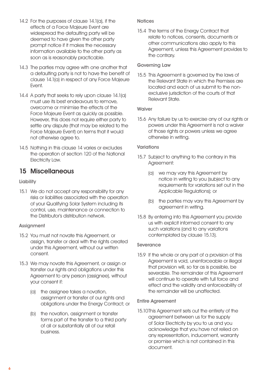- 14.2 For the purposes of clause 14.1(a), if the effects of a Force Majeure Event are widespread the defaulting party will be deemed to have given the other party prompt notice if it makes the necessary information available to the other party as soon as is reasonably practicable.
- 14.3 The parties may agree with one another that a defaulting party is not to have the benefit of clause 14.1(a) in respect of any Force Majeure Event.
- 14.4 A party that seeks to rely upon clause 14.1(a) must use its best endeavours to remove, overcome or minimise the effects of the Force Majeure Event as quickly as possible. However, this does not require either party to settle any dispute (that may be related to the Force Majeure Event) on terms that it would not otherwise agree to.
- 14.5 Nothing in this clause 14 varies or excludes the operation of section 120 of the National Electricity Law.

# 15 Miscellaneous

## **Liability**

15.1 We do not accept any responsibility for any risks or liabilities associated with the operation of your Qualifying Solar System including its control, use, maintenance or connection to the Distributor's distribution network.

## **Assignment**

- 15.2 You must not novate this Agreement, or assign, transfer or deal with the rights created under this Agreement, without our written consent.
- 15.3 We may novate this Agreement, or assign or transfer our rights and obligations under this Agreement to any person (assignee), without your consent if:
	- (a) the assignee takes a novation, assignment or transfer of our rights and obligations under the Energy Contract; or
	- (b) the novation, assignment or transfer forms part of the transfer to a third party of all or substantially all of our retail business.

## **Notices**

15.4 The terms of the Energy Contract that relate to notices, consents, documents or other communications also apply to this Agreement, unless this Agreement provides to the contrary.

## Governing Law

15.5 This Agreement is governed by the laws of the Relevant State in which the Premises are located and each of us submit to the nonexclusive jurisdiction of the courts of that Relevant State.

#### **Waiver**

15.6 Any failure by us to exercise any of our rights or powers under this Agreement is not a waiver of those rights or powers unless we agree otherwise in writing.

## **Variations**

- 15.7 Subject to anything to the contrary in this Agreement:
	- (a) we may vary this Agreement by notice in writing to you (subject to any requirements for variations set out in the Applicable Regulations); or
	- (b) the parties may vary this Agreement by agreement in writing.
- 15.8 By entering into this Agreement you provide us with explicit informed consent to any such variations (and to any variations contemplated by clause 15.13).

#### Severance

15.9 If the whole or any part of a provision of this Agreement is void, unenforceable or illegal that provision will, so far as is possible, be severable. The remainder of this Agreement will continue to operate with full force and effect and the validity and enforceability of the remainder will be unaffected.

#### Entire Agreement

15.10 This Agreement sets out the entirety of the agreement between us for the supply of Solar Electricity by you to us and you acknowledge that you have not relied on any representation, inducement, warranty or promise which is not contained in this document.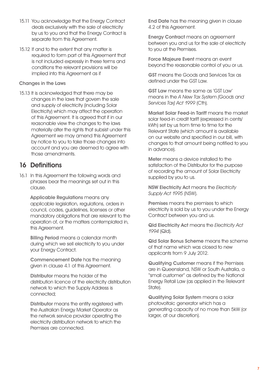- 15.11 You acknowledge that the Energy Contract deals exclusively with the sale of electricity by us to you and that the Energy Contract is separate from this Agreement.
- 15.12 If and to the extent that any matter is required to form part of this Agreement that is not included expressly in these terms and conditions the relevant provisions will be implied into this Agreement as if

#### Changes in the Laws

15.13 It is acknowledged that there may be changes in the laws that govern the sale and supply of electricity (including Solar Electricity) which may affect the operation of this Agreement. It is agreed that if in our reasonable view the changes to the laws materially alter the rights that subsist under this Agreement we may amend this Agreement by notice to you to take those changes into account and you are deemed to agree with those amendments.

# 16 Definitions

16.1 In this Agreement the following words and phrases bear the meanings set out in this clause.

> Applicable Regulations means any applicable legislation, regulations, orders in council, codes, guidelines, licenses or other mandatory obligations that are relevant to the operation of, or the matters contemplated in, this Agreement.

**Billing Period means a calendar month** during which we sell electricity to you under your Energy Contract.

 Commencement Date has the meaning given in clause 4.1 of this Agreement.

 Distributor means the holder of the distribution licence of the electricity distribution network to which the Supply Address is connected;

 Distributor means the entity registered with the Australian Energy Market Operator as the network service provider operating the electricity distribution network to which the Premises are connected.

 End Date has the meaning given in clause 4.2 of this Agreement.

 Energy Contract means an agreement between you and us for the sale of electricity to you at the Premises.

 Force Majeure Event means an event beyond the reasonable control of you or us.

 GST means the Goods and Services Tax as defined under the GST Law.

 GST Law means the same as 'GST Law' means in the A New Tax System (Goods and Services Tax) Act 1999 (Cth).

 Market Solar Feed-in Tariff means the market solar feed-in credit tariff (expressed in cents/ kWh) set by us from time to time for the Relevant State (which amount is available on our website and specified in our bill, with changes to that amount being notified to you in advance).

 Meter means a device installed to the satisfaction of the Distributor for the purpose of recording the amount of Solar Electricity supplied by you to us.

 NSW Electricity Act means the Electricity Supply Act 1995 (NSW).

Premises means the premises to which electricity is sold by us to you under the Energy Contract between you and us.

 Qld Electricity Act means the Electricity Act 1994 (Qld).

 Qld Solar Bonus Scheme means the scheme of that name which was closed to new applicants from 9 July 2012.

 Qualifying Customer means if the Premises are in Queensland, NSW or South Australia, a "small customer" as defined by the National Energy Retail Law (as applied in the Relevant State).

 Qualifying Solar System means a solar photovoltaic generator which has a generating capacity of no more than 5kW (or larger, at our discretion).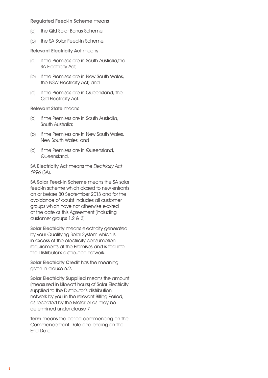Regulated Feed-in Scheme means

- (a) the Qld Solar Bonus Scheme;
- (b) the SA Solar Feed-in Scheme;

Relevant Electricity Act means

- (a) if the Premises are in South Australia,the SA Electricity Act;
- (b) if the Premises are in New South Wales, the NSW Electricity Act; and
- (c) if the Premises are in Queensland, the Qld Electricity Act.

Relevant State means

- (a) if the Premises are in South Australia, South Australia;
- (b) if the Premises are in New South Wales, New South Wales; and
- (c) if the Premises are in Queensland, Queensland.

SA Electricity Act means the Electricity Act 1996 (SA).

SA Solar Feed-in Scheme means the SA solar feed-in scheme which closed to new entrants on or before 30 September 2013 and for the avoidance of doubt includes all customer groups which have not otherwise expired at the date of this Agreement (including customer groups 1,2 & 3).

 Solar Electricity means electricity generated by your Qualifying Solar System which is in excess of the electricity consumption requirements at the Premises and is fed into the Distributor's distribution network.

Solar Electricity Credit has the meaning given in clause 6.2.

Solar Electricity Supplied means the amount (measured in kilowatt hours) of Solar Electricity supplied to the Distributor's distribution network by you in the relevant Billing Period, as recorded by the Meter or as may be determined under clause 7.

 Term means the period commencing on the Commencement Date and ending on the End Date.